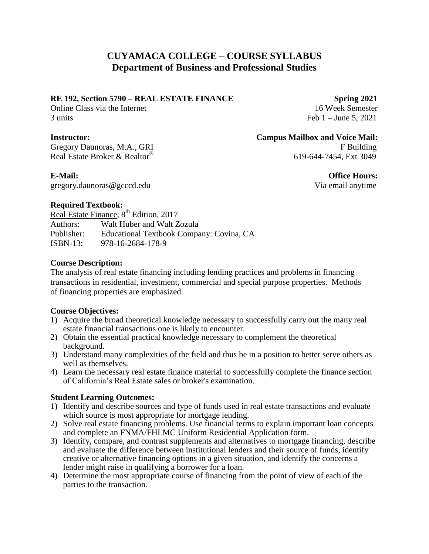# **CUYAMACA COLLEGE – COURSE SYLLABUS Department of Business and Professional Studies**

## **RE 192, Section 5790 – REAL ESTATE FINANCE Spring 2021**

Online Class via the Internet 16 Week Semester 3 units Feb 1 – June 5, 2021

Real Estate Broker & Realtor®

**Instructor: Campus Mailbox and Voice Mail:** Gregory Daunoras, M.A., GRI F Building 619-644-7454, Ext 3049

gregory.daunoras@gcccd.edu Via email anytime

**E-Mail: Office Hours:** 

### **Required Textbook:**

Real Estate Finance, 8<sup>th</sup> Edition, 2017 Authors: Walt Huber and Walt Zozula Publisher: Educational Textbook Company: Covina, CA ISBN-13: 978-16-2684-178-9

# **Course Description:**

The analysis of real estate financing including lending practices and problems in financing transactions in residential, investment, commercial and special purpose properties. Methods of financing properties are emphasized.

# **Course Objectives:**

- 1) Acquire the broad theoretical knowledge necessary to successfully carry out the many real estate financial transactions one is likely to encounter.
- 2) Obtain the essential practical knowledge necessary to complement the theoretical background.
- 3) Understand many complexities of the field and thus be in a position to better serve others as well as themselves.
- 4) Learn the necessary real estate finance material to successfully complete the finance section of California's Real Estate sales or broker's examination.

# **Student Learning Outcomes:**

- 1) Identify and describe sources and type of funds used in real estate transactions and evaluate which source is most appropriate for mortgage lending.
- 2) Solve real estate financing problems. Use financial terms to explain important loan concepts and complete an FNMA/FHLMC Uniform Residential Application form.
- 3) Identify, compare, and contrast supplements and alternatives to mortgage financing, describe and evaluate the difference between institutional lenders and their source of funds, identify creative or alternative financing options in a given situation, and identify the concerns a lender might raise in qualifying a borrower for a loan.
- 4) Determine the most appropriate course of financing from the point of view of each of the parties to the transaction.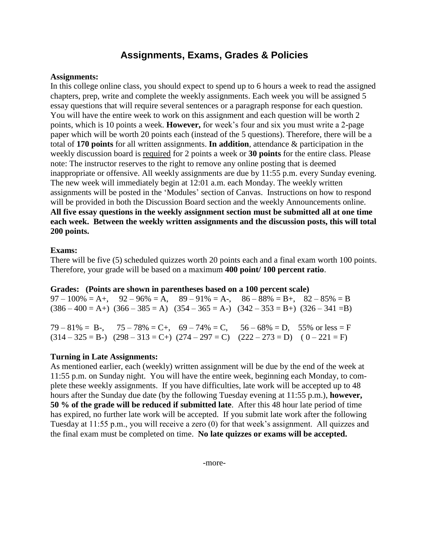# **Assignments, Exams, Grades & Policies**

#### **Assignments:**

In this college online class, you should expect to spend up to 6 hours a week to read the assigned chapters, prep, write and complete the weekly assignments. Each week you will be assigned 5 essay questions that will require several sentences or a paragraph response for each question. You will have the entire week to work on this assignment and each question will be worth 2 points, which is 10 points a week. **However,** for week's four and six you must write a 2-page paper which will be worth 20 points each (instead of the 5 questions). Therefore, there will be a total of **170 points** for all written assignments. **In addition**, attendance & participation in the weekly discussion board is required for 2 points a week or **30 points** for the entire class. Please note: The instructor reserves to the right to remove any online posting that is deemed inappropriate or offensive. All weekly assignments are due by 11:55 p.m. every Sunday evening. The new week will immediately begin at 12:01 a.m. each Monday. The weekly written assignments will be posted in the 'Modules' section of Canvas. Instructions on how to respond will be provided in both the Discussion Board section and the weekly Announcements online. **All five essay questions in the weekly assignment section must be submitted all at one time each week. Between the weekly written assignments and the discussion posts, this will total 200 points.**

# **Exams:**

There will be five (5) scheduled quizzes worth 20 points each and a final exam worth 100 points. Therefore, your grade will be based on a maximum **400 point/ 100 percent ratio**.

#### **Grades: (Points are shown in parentheses based on a 100 percent scale)**

 $97 - 100\% = A_1$ ,  $92 - 96\% = A$ ,  $89 - 91\% = A_1$ ,  $86 - 88\% = B_1$ ,  $82 - 85\% = B$  $(386 - 400 = A+)$   $(366 - 385 = A)$   $(354 - 365 = A-)$   $(342 - 353 = B+)$   $(326 - 341 = B)$ 

 $79 - 81\% = B$ ,  $75 - 78\% = C$ ,  $69 - 74\% = C$ ,  $56 - 68\% = D$ ,  $55\%$  or less  $= F$  $(314 - 325 = B)$   $(298 - 313 = C)$   $(274 - 297 = C)$   $(222 - 273 = D)$   $(0 - 221 = F)$ 

#### **Turning in Late Assignments:**

As mentioned earlier, each (weekly) written assignment will be due by the end of the week at 11:55 p.m. on Sunday night. You will have the entire week, beginning each Monday, to complete these weekly assignments. If you have difficulties, late work will be accepted up to 48 hours after the Sunday due date (by the following Tuesday evening at 11:55 p.m.), **however, 50 % of the grade will be reduced if submitted late**. After this 48 hour late period of time has expired, no further late work will be accepted. If you submit late work after the following Tuesday at 11:55 p.m., you will receive a zero (0) for that week's assignment. All quizzes and the final exam must be completed on time. **No late quizzes or exams will be accepted.**

-more-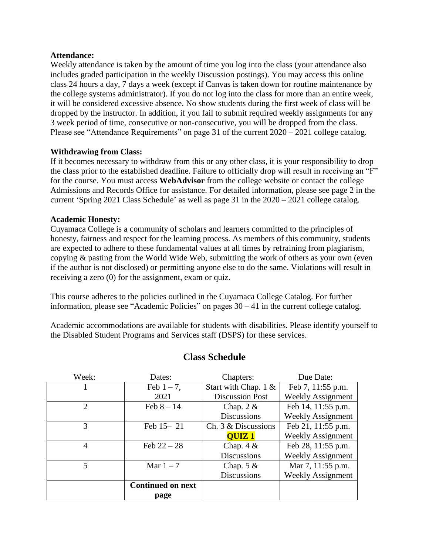#### **Attendance:**

Weekly attendance is taken by the amount of time you log into the class (your attendance also includes graded participation in the weekly Discussion postings). You may access this online class 24 hours a day, 7 days a week (except if Canvas is taken down for routine maintenance by the college systems administrator). If you do not log into the class for more than an entire week, it will be considered excessive absence. No show students during the first week of class will be dropped by the instructor. In addition, if you fail to submit required weekly assignments for any 3 week period of time, consecutive or non-consecutive, you will be dropped from the class. Please see "Attendance Requirements" on page 31 of the current 2020 – 2021 college catalog.

### **Withdrawing from Class:**

If it becomes necessary to withdraw from this or any other class, it is your responsibility to drop the class prior to the established deadline. Failure to officially drop will result in receiving an "F" for the course. You must access **WebAdvisor** from the college website or contact the college Admissions and Records Office for assistance. For detailed information, please see page 2 in the current 'Spring 2021 Class Schedule' as well as page 31 in the 2020 – 2021 college catalog.

### **Academic Honesty:**

Cuyamaca College is a community of scholars and learners committed to the principles of honesty, fairness and respect for the learning process. As members of this community, students are expected to adhere to these fundamental values at all times by refraining from plagiarism, copying & pasting from the World Wide Web, submitting the work of others as your own (even if the author is not disclosed) or permitting anyone else to do the same. Violations will result in receiving a zero (0) for the assignment, exam or quiz.

This course adheres to the policies outlined in the Cuyamaca College Catalog. For further information, please see "Academic Policies" on pages 30 – 41 in the current college catalog.

Academic accommodations are available for students with disabilities. Please identify yourself to the Disabled Student Programs and Services staff (DSPS) for these services.

| Week:                       | Dates:                   | Chapters:              | Due Date:                |
|-----------------------------|--------------------------|------------------------|--------------------------|
|                             | Feb $1 - 7$ ,            | Start with Chap. 1 &   | Feb 7, 11:55 p.m.        |
|                             | 2021                     | <b>Discussion Post</b> | <b>Weekly Assignment</b> |
| $\mathcal{D}_{\mathcal{A}}$ | Feb $8 - 14$             | Chap. $2 &$            | Feb 14, 11:55 p.m.       |
|                             |                          | <b>Discussions</b>     | <b>Weekly Assignment</b> |
| 3                           | Feb 15-21                | Ch. 3 & Discussions    | Feb 21, 11:55 p.m.       |
|                             |                          | <b>OUIZ1</b>           | <b>Weekly Assignment</b> |
| 4                           | Feb $22 - 28$            | Chap. $4 &$            | Feb 28, 11:55 p.m.       |
|                             |                          | <b>Discussions</b>     | <b>Weekly Assignment</b> |
| 5                           | Mar $1-7$                | Chap. $5 &$            | Mar 7, 11:55 p.m.        |
|                             |                          | <b>Discussions</b>     | <b>Weekly Assignment</b> |
|                             | <b>Continued on next</b> |                        |                          |
|                             | page                     |                        |                          |

# **Class Schedule**